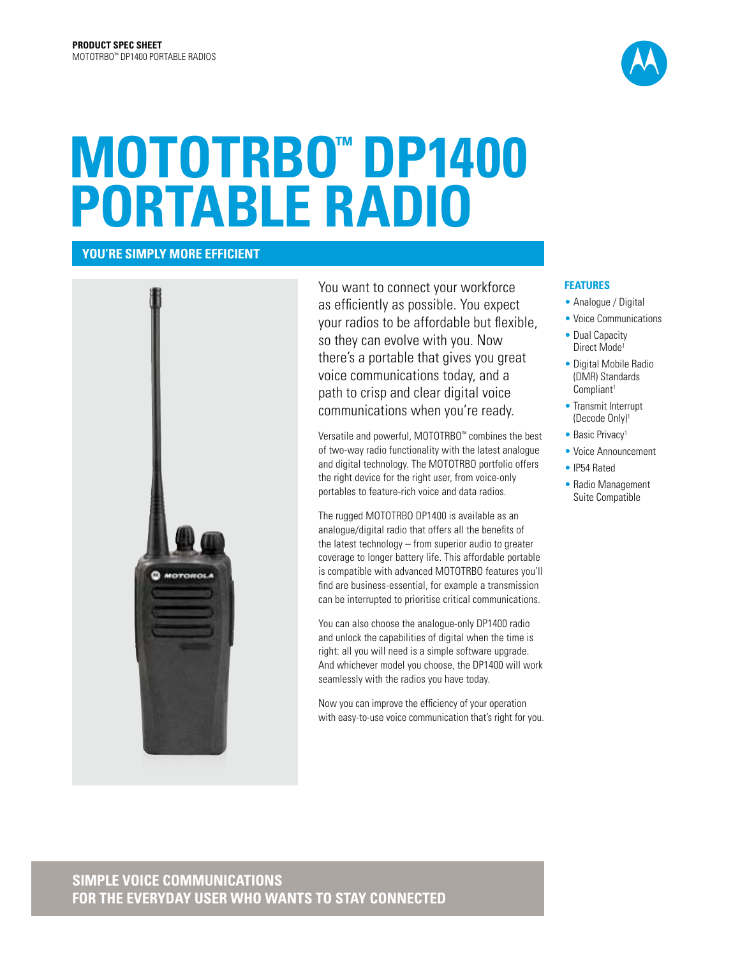

# **MOTOTRBO™ DP1400 PORTABLE RADIO**

**YOU'RE SIMPLY MORE EFFICIENT**



You want to connect your workforce as efficiently as possible. You expect your radios to be affordable but flexible, so they can evolve with you. Now there's a portable that gives you great voice communications today, and a path to crisp and clear digital voice communications when you're ready.

Versatile and powerful, MOTOTRBO™ combines the best of two-way radio functionality with the latest analogue and digital technology. The MOTOTRBO portfolio offers the right device for the right user, from voice-only portables to feature-rich voice and data radios.

The rugged MOTOTRBO DP1400 is available as an analogue/digital radio that offers all the benefits of the latest technology – from superior audio to greater coverage to longer battery life. This affordable portable is compatible with advanced MOTOTRBO features you'll find are business-essential, for example a transmission can be interrupted to prioritise critical communications.

You can also choose the analogue-only DP1400 radio and unlock the capabilities of digital when the time is right: all you will need is a simple software upgrade. And whichever model you choose, the DP1400 will work seamlessly with the radios you have today.

Now you can improve the efficiency of your operation with easy-to-use voice communication that's right for you.

### **FEATURES**

- Analogue / Digital
- Voice Communications
- Dual Capacity Direct Mode<sup>1</sup>
- Digital Mobile Radio (DMR) Standards Compliant<sup>1</sup>
- Transmit Interrupt (Decode Only)1
- Basic Privacy<sup>1</sup>
- Voice Announcement
- IP54 Rated
- Radio Management Suite Compatible

## **SIMPLE VOICE COMMUNICATIONS FOR THE EVERYDAY USER WHO WANTS TO STAY CONNECTED**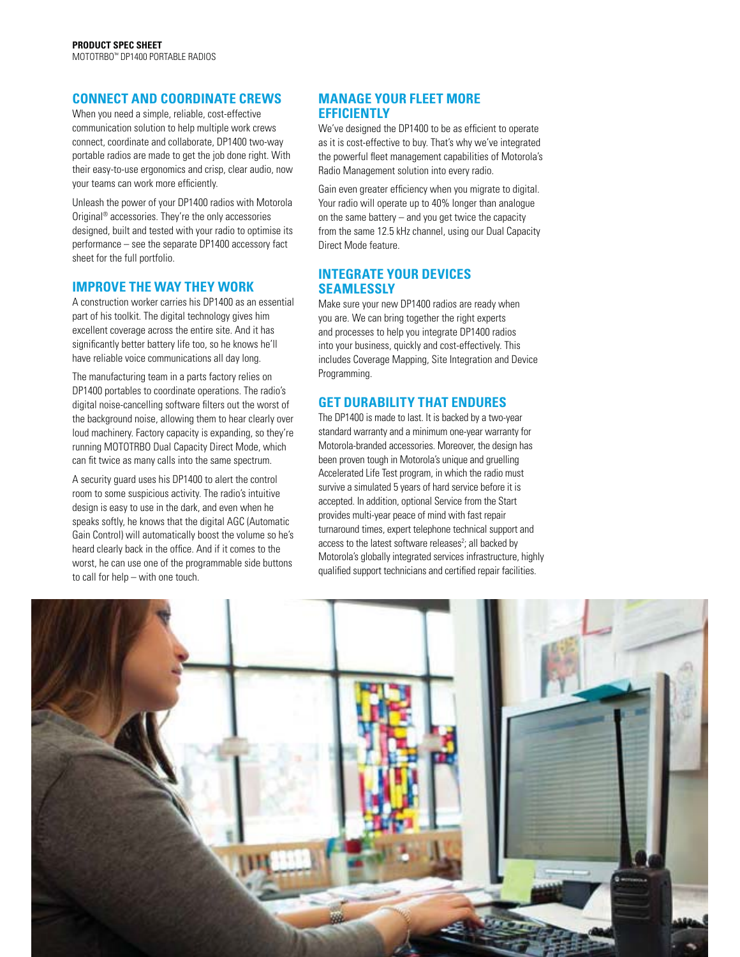## **CONNECT AND COORDINATE CREWS**

When you need a simple, reliable, cost-effective communication solution to help multiple work crews connect, coordinate and collaborate, DP1400 two-way portable radios are made to get the job done right. With their easy-to-use ergonomics and crisp, clear audio, now your teams can work more efficiently.

Unleash the power of your DP1400 radios with Motorola Original® accessories. They're the only accessories designed, built and tested with your radio to optimise its performance – see the separate DP1400 accessory fact sheet for the full portfolio.

### **IMPROVE THE WAY THEY WORK**

A construction worker carries his DP1400 as an essential part of his toolkit. The digital technology gives him excellent coverage across the entire site. And it has significantly better battery life too, so he knows he'll have reliable voice communications all day long.

The manufacturing team in a parts factory relies on DP1400 portables to coordinate operations. The radio's digital noise-cancelling software filters out the worst of the background noise, allowing them to hear clearly over loud machinery. Factory capacity is expanding, so they're running MOTOTRBO Dual Capacity Direct Mode, which can fit twice as many calls into the same spectrum.

A security guard uses his DP1400 to alert the control room to some suspicious activity. The radio's intuitive design is easy to use in the dark, and even when he speaks softly, he knows that the digital AGC (Automatic Gain Control) will automatically boost the volume so he's heard clearly back in the office. And if it comes to the worst, he can use one of the programmable side buttons to call for help – with one touch.

## **MANAGE YOUR FLEET MORE EFFICIENTLY**

We've designed the DP1400 to be as efficient to operate as it is cost-effective to buy. That's why we've integrated the powerful fleet management capabilities of Motorola's Radio Management solution into every radio.

Gain even greater efficiency when you migrate to digital. Your radio will operate up to 40% longer than analogue on the same battery – and you get twice the capacity from the same 12.5 kHz channel, using our Dual Capacity Direct Mode feature.

## **INTEGRATE YOUR DEVICES SEAMLESSLY**

Make sure your new DP1400 radios are ready when you are. We can bring together the right experts and processes to help you integrate DP1400 radios into your business, quickly and cost-effectively. This includes Coverage Mapping, Site Integration and Device Programming.

## **GET DURABILITY THAT ENDURES**

The DP1400 is made to last. It is backed by a two-year standard warranty and a minimum one-year warranty for Motorola-branded accessories. Moreover, the design has been proven tough in Motorola's unique and gruelling Accelerated Life Test program, in which the radio must survive a simulated 5 years of hard service before it is accepted. In addition, optional Service from the Start provides multi-year peace of mind with fast repair turnaround times, expert telephone technical support and access to the latest software releases<sup>2</sup>; all backed by Motorola's globally integrated services infrastructure, highly qualified support technicians and certified repair facilities.

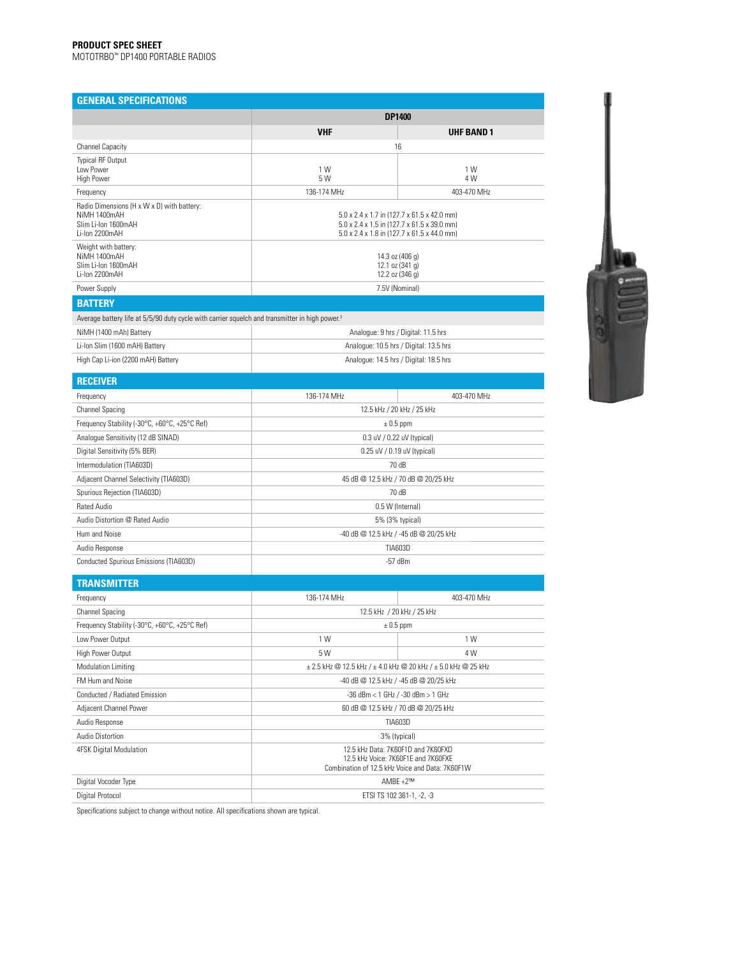#### **PRODUCT SPEC SHEET**

MOTOTRBO™ DP1400 PORTABLE RADIOS

| <b>GENERAL SPECIFICATIONS</b>                                                                              |                                                                                                                                           |             |  |  |  |
|------------------------------------------------------------------------------------------------------------|-------------------------------------------------------------------------------------------------------------------------------------------|-------------|--|--|--|
|                                                                                                            | <b>DP1400</b>                                                                                                                             |             |  |  |  |
|                                                                                                            | <b>VHF</b><br><b>UHF BAND 1</b>                                                                                                           |             |  |  |  |
| <b>Channel Capacity</b>                                                                                    | 16                                                                                                                                        |             |  |  |  |
| <b>Typical RF Output</b><br>I ow Power<br><b>High Power</b>                                                | 1 W<br>5 W                                                                                                                                | 1 W<br>4 W  |  |  |  |
| Frequency                                                                                                  | 136-174 MHz                                                                                                                               | 403-470 MHz |  |  |  |
| Radio Dimensions (H x W x D) with battery:<br>NiMH 1400mAH<br>Slim Li-Ion 1600mAH<br>Li-Ion 2200mAH        | 5.0 x 2.4 x 1.7 in (127.7 x 61.5 x 42.0 mm)<br>5.0 x 2.4 x 1.5 in (127.7 x 61.5 x 39.0 mm)<br>5.0 x 2.4 x 1.8 in (127.7 x 61.5 x 44.0 mm) |             |  |  |  |
| Weight with battery:<br>NiMH 1400mAH<br>Slim Li-Ion 1600mAH<br>Li-Ion 2200mAH                              | 14.3 oz (406 g)<br>12.1 oz $(341 g)$<br>12.2 oz (346 g)                                                                                   |             |  |  |  |
| Power Supply                                                                                               | 7.5V (Nominal)                                                                                                                            |             |  |  |  |
| <b>BATTERY</b>                                                                                             |                                                                                                                                           |             |  |  |  |
| Average battery life at 5/5/90 duty cycle with carrier squelch and transmitter in high power. <sup>3</sup> |                                                                                                                                           |             |  |  |  |

| NiMH (1400 mAh) Battery            | Analogue: 9 hrs / Digital: 11.5 hrs    |  |  |
|------------------------------------|----------------------------------------|--|--|
| Li-Ion Slim (1600 mAH) Battery     | Analogue: 10.5 hrs / Digital: 13.5 hrs |  |  |
| High Cap Li-ion (2200 mAH) Battery | Analogue: 14.5 hrs / Digital: 18.5 hrs |  |  |



| <b>RECEIVER</b>                               |                                        |  |  |  |
|-----------------------------------------------|----------------------------------------|--|--|--|
| Frequency                                     | 136-174 MHz<br>403-470 MHz             |  |  |  |
| <b>Channel Spacing</b>                        | 12.5 kHz / 20 kHz / 25 kHz             |  |  |  |
| Frequency Stability (-30°C, +60°C, +25°C Ref) | $\pm 0.5$ ppm                          |  |  |  |
| Analogue Sensitivity (12 dB SINAD)            | $0.3$ uV / $0.22$ uV (typical)         |  |  |  |
| Digital Sensitivity (5% BER)                  | 0.25 uV / 0.19 uV (typical)            |  |  |  |
| Intermodulation (TIA603D)                     | 70 dB                                  |  |  |  |
| Adjacent Channel Selectivity (TIA603D)        | 45 dB @ 12.5 kHz / 70 dB @ 20/25 kHz   |  |  |  |
| Spurious Rejection (TIA603D)                  | 70 dB                                  |  |  |  |
| Rated Audio                                   | 0.5 W (Internal)                       |  |  |  |
| Audio Distortion @ Rated Audio                | 5% (3% typical)                        |  |  |  |
| Hum and Noise                                 | -40 dB @ 12.5 kHz / -45 dB @ 20/25 kHz |  |  |  |
| Audio Response                                | <b>TIA603D</b>                         |  |  |  |
| Conducted Spurious Emissions (TIA603D)        | $-57$ dBm                              |  |  |  |

| <b>TRANSMITTER</b>                            |                                                                                                                              |             |  |  |
|-----------------------------------------------|------------------------------------------------------------------------------------------------------------------------------|-------------|--|--|
| Frequency                                     | 136-174 MHz                                                                                                                  | 403-470 MHz |  |  |
| Channel Spacing                               | 12.5 kHz / 20 kHz / 25 kHz                                                                                                   |             |  |  |
| Frequency Stability (-30°C, +60°C, +25°C Ref) | $\pm$ 0.5 ppm                                                                                                                |             |  |  |
| Low Power Output                              | 1 W<br>1 W                                                                                                                   |             |  |  |
| High Power Output                             | 5 W                                                                                                                          | 4 W         |  |  |
| <b>Modulation Limiting</b>                    | $\pm$ 2.5 kHz @ 12.5 kHz / $\pm$ 4.0 kHz @ 20 kHz / $\pm$ 5.0 kHz @ 25 kHz                                                   |             |  |  |
| FM Hum and Noise                              | -40 dB @ 12.5 kHz / -45 dB @ 20/25 kHz                                                                                       |             |  |  |
| Conducted / Radiated Emission                 | -36 dBm < 1 GHz / -30 dBm > 1 GHz                                                                                            |             |  |  |
| Adjacent Channel Power                        | 60 dB @ 12.5 kHz / 70 dB @ 20/25 kHz                                                                                         |             |  |  |
| Audio Response                                | <b>TIA603D</b>                                                                                                               |             |  |  |
| Audio Distortion                              | 3% (typical)                                                                                                                 |             |  |  |
| 4FSK Digital Modulation                       | 12.5 kHz Data: 7K60F1D and 7K60FXD<br>12.5 kHz Voice: 7K60F1E and 7K60FXE<br>Combination of 12.5 kHz Voice and Data: 7K60F1W |             |  |  |
| Digital Vocoder Type                          | AMBE $+2^{\text{TM}}$                                                                                                        |             |  |  |
| Digital Protocol                              | ETSI TS 102 361-1, -2, -3                                                                                                    |             |  |  |

Specifications subject to change without notice. All specifications shown are typical.